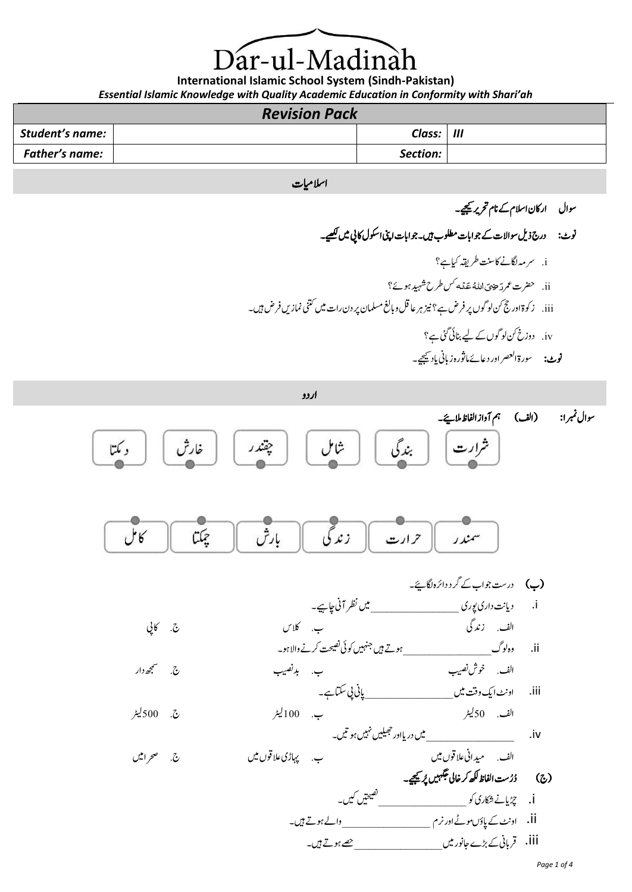)ar-ul-Madina

**International Islamic School System (Sindh-Pakistan)** *Essential Islamic Knowledge with Quality Academic Education in Conformity with Shari'ah*

### *Revision Pack*

| <b>Student's name:</b> | Class:   | $\mathbf{m}$ |
|------------------------|----------|--------------|
| <b>Father's name:</b>  | Section: |              |

### اسلامیات

سوال ارکان اسلام کے نام تحریر <u>پ</u>چھے۔

نوٹ: درج ذیل سوالات کے جوابات مطلوب ہیں۔جوابات اپنی اسکول کانی میں <u>لکھ</u>یہ۔ i. رسہم اگلےن اک تنس رطہقی ایک ےہ؟ س۱9ص 79 ii. حضرت عمر دَحِيْتِي اللَّهُ عَنْهُ سَلَّ طرح شہید ہوئے؟ ْ َ iii. زوکۃ اور جح نک ولوگں رپ رفض ےہ؟ زین رہاعلق و ابغل املسمن رپ دن رات ںیم ینتک امنزںی رفض ںیہ۔ iv. دوزخ نک ولوگں ےک ےیل انبیئ یئگ ےہ؟

نوٹ: سورۃ ا<sup>لع</sup>صر اور دعائے ماثورہ زبانی باد <del>ی</del>جیے۔

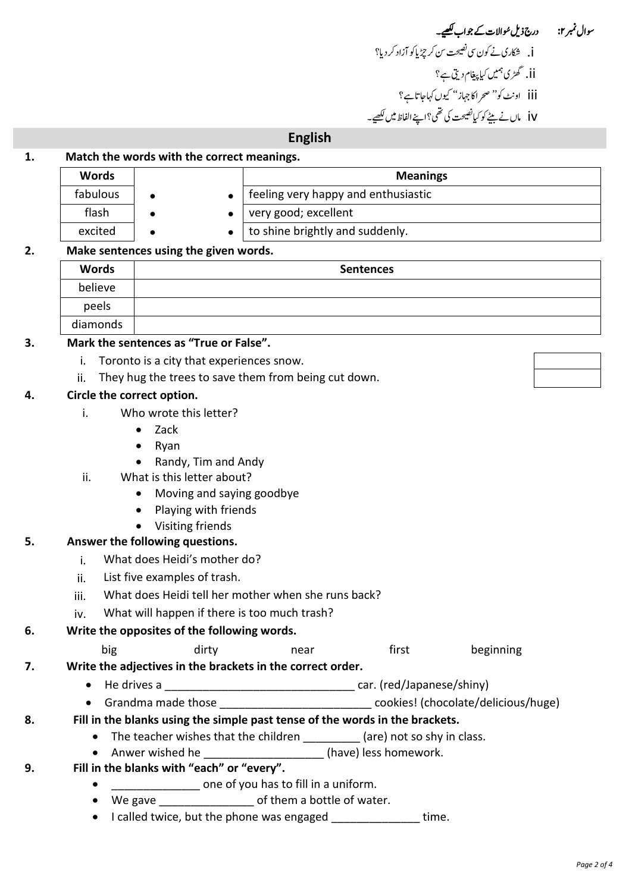# سوال نمبر ۲: درج ذیل سُوالات کے جواب کھیے۔ ن شکاری نے کون سی تصیحت سن کر چڑ پاکو آزاد کر دیا؟ **6** ii. گھڑی ہمیں کیا پیغام دیتی ہے؟ .<br>iii. اونٹ کو'' صحر اکا جہاز'' کیوں کہاجاتاہے؟ iv. امں ےن ےٹیب وک ایک تحیصن یک یھت؟ اےنپ اافلظ ںیم ےیھکل۔ 93

### **English**

### **1. Match the words with the correct meanings.**

| <b>Words</b> |  | <b>Meanings</b>                     |  |
|--------------|--|-------------------------------------|--|
| fabulous     |  | feeling very happy and enthusiastic |  |
| flash        |  | very good; excellent                |  |
| excited      |  | to shine brightly and suddenly.     |  |

### **2. Make sentences using the given words.**

| <b>Words</b> | <b>Sentences</b> |
|--------------|------------------|
| believe      |                  |
| peels        |                  |
| diamonds     |                  |

### **3. Mark the sentences as "True or False".**

- i. Toronto is a city that experiences snow.
- ji. They hug the trees to save them from being cut down.

### **4. Circle the correct option.**

- i. Who wrote this letter?
	- Zack
	- Ryan
	- Randy, Tim and Andy
- ii. What is this letter about?
	- Moving and saying goodbye
	- Playing with friends
	- Visiting friends

### **5. Answer the following questions.**

- i. What does Heidi's mother do?
- ii. List five examples of trash.
- iii. What does Heidi tell her mother when she runs back?
- $iv.$  What will happen if there is too much trash?

### **6. Write the opposites of the following words.**

- big dirty near first beginning
- **7. Write the adjectives in the brackets in the correct order.**
	- He drives a  $\frac{1}{2}$  He drives a  $\frac{1}{2}$  and  $\frac{1}{2}$  are  $\frac{1}{2}$  car. (red/Japanese/shiny)
	- Grandma made those example and those cookies! (chocolate/delicious/huge)

### **8. Fill in the blanks using the simple past tense of the words in the brackets.**

- The teacher wishes that the children \_\_\_\_\_\_\_\_\_ (are) not so shy in class.
- Anwer wished he **and in the set of the set of the set of the set of the set of the set of the set of the set of the set of the set of the set of the set of the set of the set of the set of the set of the set of the set o**
- **9. Fill in the blanks with "each" or "every".**
	- one of you has to fill in a uniform.
	- We gave  $\bullet$  of them a bottle of water.
	- I called twice, but the phone was engaged time.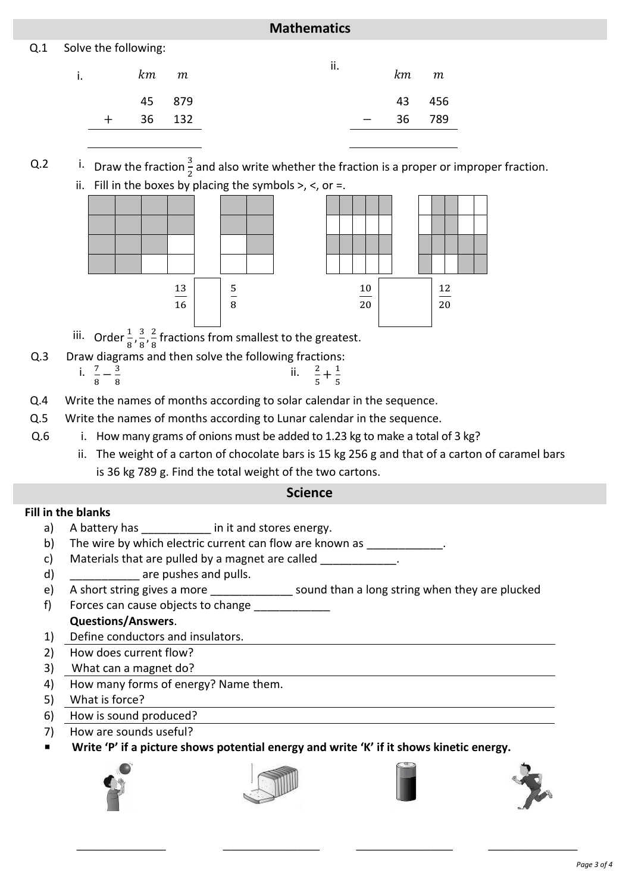### **Mathematics**

### Q.1 Solve the following:

| i. | km m       |        | ii. |                                 | $km$ $m$ |        |
|----|------------|--------|-----|---------------------------------|----------|--------|
|    |            | 45 879 |     |                                 |          | 43 456 |
|    | $+$ 36 132 |        |     | $\frac{1}{2}$ and $\frac{1}{2}$ |          | 36 789 |
|    |            |        |     |                                 |          |        |

Q.2 i. Draw the fraction  $\frac{3}{2}$  and also write whether the fraction is a proper or improper fraction. ii. Fill in the boxes by placing the symbols  $>$ ,  $<$ , or =.



- iii. Order $\frac{1}{8}, \frac{3}{8}$  $\frac{3}{8}$ ,  $\frac{2}{8}$  $\frac{2}{8}$  fractions from smallest to the greatest.
- Q.3 Draw diagrams and then solve the following fractions:
	- i.  $\frac{7}{8} \frac{3}{8}$ 8 ii.  $\frac{2}{5} + \frac{1}{5}$ 5
- Q.4 Write the names of months according to solar calendar in the sequence.
- Q.5 Write the names of months according to Lunar calendar in the sequence.
- Q.6 i. How many grams of onions must be added to 1.23 kg to make a total of 3 kg?
	- ii. The weight of a carton of chocolate bars is 15 kg 256 g and that of a carton of caramel bars is 36 kg 789 g. Find the total weight of the two cartons.

### **Science**

### **Fill in the blanks**

- a) A battery has **a** in it and stores energy.
- b) The wire by which electric current can flow are known as \_\_\_\_\_\_\_\_\_\_\_\_\_.
- c) Materials that are pulled by a magnet are called \_\_\_\_\_\_\_\_\_\_\_\_.
- d) are pushes and pulls.
- e) A short string gives a more \_\_\_\_\_\_\_\_\_\_\_\_\_\_\_ sound than a long string when they are plucked f) Forces can cause objects to change

### **Questions/Answers**.

- 1) Define conductors and insulators.
- 2) How does current flow?
- 3) What can a magnet do?
- 4) How many forms of energy? Name them.
- 5) What is force?
- 6) How is sound produced?
- 7) How are sounds useful?
- **Write 'P' if a picture shows potential energy and write 'K' if it shows kinetic energy.**

\_\_\_\_\_\_\_\_\_\_\_\_ \_\_\_\_\_\_\_\_\_\_\_\_\_ \_\_\_\_\_\_\_\_\_\_\_\_\_ \_\_\_\_\_\_\_\_\_\_\_\_